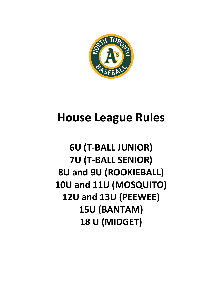

# **House League Rules**

## **6U (T-BALL JUNIOR) 7U (T-BALL SENIOR) 8U and 9U (ROOKIEBALL) 10U and 11U (MOSQUITO) 12U and 13U (PEEWEE) 15U (BANTAM) 18 U (MIDGET)**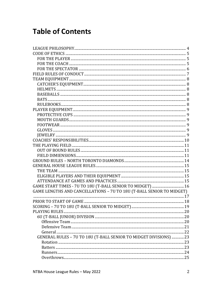## **Table of Contents**

| GAME LENGTHS AND CANCELLATIONS - 7U TO 18U (T-BALL SENIOR TO MIDGET) |  |
|----------------------------------------------------------------------|--|
|                                                                      |  |
|                                                                      |  |
|                                                                      |  |
|                                                                      |  |
|                                                                      |  |
|                                                                      |  |
|                                                                      |  |
|                                                                      |  |
| GENERAL RULES - 7U TO 18U (T-BALL SENIOR TO MIDGET DIVISIONS) 23     |  |
|                                                                      |  |
|                                                                      |  |
|                                                                      |  |
|                                                                      |  |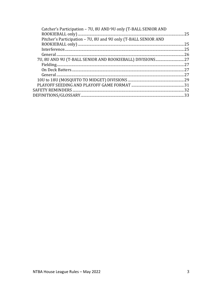| Catcher's Participation - 7U, 8U AND 9U only (T-BALL SENIOR AND | 25 |
|-----------------------------------------------------------------|----|
| Pitcher's Participation - 7U, 8U and 9U only (T-BALL SENIOR AND |    |
|                                                                 | 25 |
|                                                                 | 25 |
|                                                                 | 26 |
|                                                                 |    |
|                                                                 |    |
|                                                                 |    |
|                                                                 | 27 |
|                                                                 |    |
|                                                                 |    |
|                                                                 | 32 |
|                                                                 | 33 |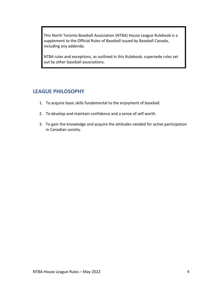This North Toronto Baseball Association (NTBA) House League Rulebook is a supplement to the Official Rules of Baseball issued by Baseball Canada, including any addenda.

NTBA rules and exceptions, as outlined in this Rulebook, supersede rules set out by other baseball associations.

### **LEAGUE PHILOSOPHY**

- 1. To acquire basic skills fundamental to the enjoyment of baseball.
- 2. To develop and maintain confidence and a sense of self worth.
- 3. To gain the knowledge and acquire the attitudes needed for active participation in Canadian society.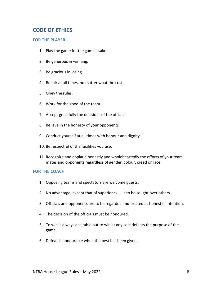### **CODE OF ETHICS**

### **FOR THE PLAYER**

- 1. Play the game for the game's sake.
- 2. Be generous in winning.
- 3. Be gracious in losing.
- 4. Be fair at all times, no matter what the cost.
- 5. Obey the rules.
- 6. Work for the good of the team.
- 7. Accept gracefully the decisions of the officials.
- 8. Believe in the honesty of your opponents.
- 9. Conduct yourself at all times with honour and dignity.
- 10. Be respectful of the facilities you use.
- 11. Recognize and applaud honestly and wholeheartedly the efforts of your teammates and opponents regardless of gender, colour, creed or race.

### **FOR THE COACH**

- 1. Opposing teams and spectators are welcome guests.
- 2. No advantage, except that of superior skill, is to be sought over others.
- 3. Officials and opponents are to be regarded and treated as honest in intention.
- 4. The decision of the officials must be honoured.
- 5. To win is always desirable but to win at any cost defeats the purpose of the game.
- 6. Defeat is honourable when the best has been given.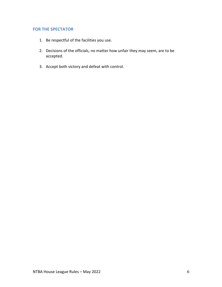### **FOR THE SPECTATOR**

- 1. Be respectful of the facilities you use.
- 2. Decisions of the officials, no matter how unfair they may seem, are to be accepted.
- 3. Accept both victory and defeat with control.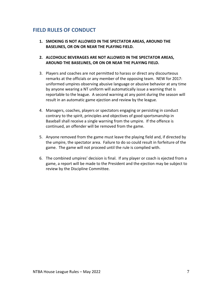### **FIELD RULES OF CONDUCT**

- **1. SMOKING IS NOT ALLOWED IN THE SPECTATOR AREAS, AROUND THE BASELINES, OR ON OR NEAR THE PLAYING FIELD.**
- **2. ALCOHOLIC BEVERAGES ARE NOT ALLOWED IN THE SPECTATOR AREAS, AROUND THE BASELINES, OR ON OR NEAR THE PLAYING FIELD.**
- 3. Players and coaches are not permitted to harass or direct any discourteous remarks at the officials or any member of the opposing team. NEW for 2017: uniformed umpires observing abusive language or abusive behavior at any time by anyone wearing a NT uniform will automatically issue a warning that is reportable to the league. A second warning at any point during the season will result in an automatic game ejection and review by the league.
- 4. Managers, coaches, players or spectators engaging or persisting in conduct contrary to the spirit, principles and objectives of good sportsmanship in Baseball shall receive a single warning from the umpire. If the offence is continued, an offender will be removed from the game.
- 5. Anyone removed from the game must leave the playing field and, if directed by the umpire, the spectator area. Failure to do so could result in forfeiture of the game. The game will not proceed until the rule is complied with.
- 6. The combined umpires' decision is final. If any player or coach is ejected from a game, a report will be made to the President and the ejection may be subject to review by the Discipline Committee.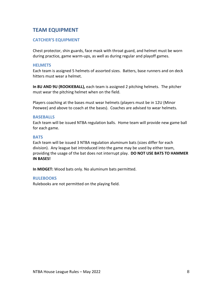### **TEAM EQUIPMENT**

### **CATCHER'S EQUIPMENT**

Chest protector, shin guards, face mask with throat guard, and helmet must be worn during practice, game warm-ups, as well as during regular and playoff games.

### **HELMETS**

Each team is assigned 5 helmets of assorted sizes. Batters, base runners and on deck hitters must wear a helmet.

**In 8U AND 9U (ROOKIEBALL),** each team is assigned 2 pitching helmets. The pitcher must wear the pitching helmet when on the field.

Players coaching at the bases must wear helmets (players must be in 12U (Minor Peewee) and above to coach at the bases). Coaches are advised to wear helmets.

#### **BASEBALLS**

Each team will be issued NTBA regulation balls. Home team will provide new game ball for each game.

#### **BATS**

Each team will be issued 3 NTBA regulation aluminum bats (sizes differ for each division). Any league bat introduced into the game may be used by either team, providing the usage of the bat does not interrupt play. **DO NOT USE BATS TO HAMMER IN BASES!**

**In MIDGET:** Wood bats only. No aluminum bats permitted.

### **RULEBOOKS**

Rulebooks are not permitted on the playing field.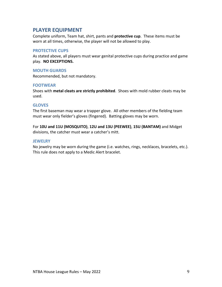### **PLAYER EQUIPMENT**

Complete uniform, Team hat, shirt, pants and **protective cup**. These items must be worn at all times, otherwise, the player will not be allowed to play.

### **PROTECTIVE CUPS**

As stated above, all players must wear genital protective cups during practice and game play. **NO EXCEPTIONS.**

### **MOUTH GUARDS**

Recommended, but not mandatory.

### **FOOTWEAR**

Shoes with **metal cleats are strictly prohibited**. Shoes with mold rubber cleats may be used.

### **GLOVES**

The first baseman may wear a trapper glove. All other members of the fielding team must wear only fielder's gloves (fingered). Batting gloves may be worn.

For **10U and 11U (MOSQUITO)**, **12U and 13U (PEEWEE)**, **15U (BANTAM)** and Midget divisions, the catcher must wear a catcher's mitt.

### **JEWELRY**

No jewelry may be worn during the game (i.e. watches, rings, necklaces, bracelets, etc.). This rule does not apply to a Medic Alert bracelet.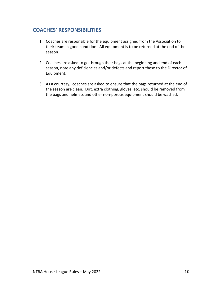### **COACHES' RESPONSIBILITIES**

- 1. Coaches are responsible for the equipment assigned from the Association to their team in good condition. All equipment is to be returned at the end of the season.
- 2. Coaches are asked to go through their bags at the beginning and end of each season, note any deficiencies and/or defects and report these to the Director of Equipment.
- 3. As a courtesy, coaches are asked to ensure that the bags returned at the end of the season are clean. Dirt, extra clothing, gloves, etc. should be removed from the bags and helmets and other non-porous equipment should be washed.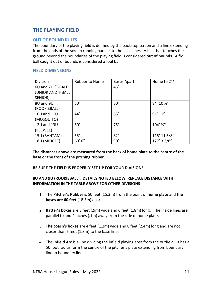### **THE PLAYING FIELD**

### **OUT OF BOUND RULES**

The boundary of the playing field is defined by the backstop screen and a line extending from the ends of the screen running parallel to the base lines. A ball that touches the ground beyond the boundaries of the playing field is considered **out of bounds**. A fly ball caught out of bounds is considered a foul ball.

### **FIELD DIMIENSIONS**

| Division                 | Rubber to Home | <b>Bases Apart</b> | Home to 2 <sup>nd</sup> |
|--------------------------|----------------|--------------------|-------------------------|
| 6U and 7U (T-BALL        |                | 45'                |                         |
| <b>JUNIOR AND T-BALL</b> |                |                    |                         |
| SENIOR)                  |                |                    |                         |
| 8U and 9U                | 50'            | 60'                | 84' 10 %"               |
| (ROOKIEBALL)             |                |                    |                         |
| 10U and 11U              | 44'            | 65'                | 91'11''                 |
| (MOSQUITO)               |                |                    |                         |
| 12U and 13U              | 50'            | 75'                | $104'$ $\frac{3}{4}''$  |
| (PEEWEE)                 |                |                    |                         |
| 15U (BANTAM)             | 55'            | 82'                | 115' 11 5/8"            |
| 18U (MIDGET)             | 60' 6''        | 90'                | 127' 3 3/8"             |

**The distances above are measured from the back of home plate to the centre of the base or the front of the pitching rubber.**

### **BE SURE THE FIELD IS PROPERLY SET UP FOR YOUR DIVISION!**

### **8U AND 9U (ROOKIEBALL), DETAILS NOTED BELOW, REPLACE DISTANCE WITH INFORMATION IN THE TABLE ABOVE FOR OTHER DIVISIONS**

- 1. The **Pitcher's Rubber** is 50 feet (15.3m) from the point of **home plate** and **the bases are 60 feet** (18.3m) apart.
- 2. **Batter's boxes** are 3 feet (.9m) wide and 6 feet (1.8m) long. The inside lines are parallel to and 4 inches (.1m) away from the side of home plate.
- 3. **The coach's boxes** are 4 feet (1.2m) wide and 8 feet (2.4m) long and are not closer than 6 feet (1.8m) to the base lines.
- 4. The **Infield Arc** is a line dividing the infield playing area from the outfield. It has a 50 foot radius form the centre of the pitcher's plate extending from boundary line to boundary line.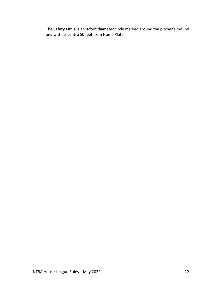5. The **Safety Circle** is an 8-foot diameter circle marked around the pitcher's mound and with its centre 50 feet from Home Plate.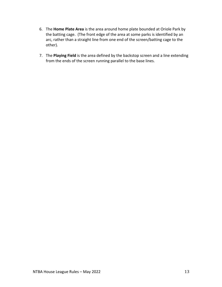- 6. The **Home Plate Area** is the area around home plate bounded at Oriole Park by the batting cage. (The front edge of the area at some parks is identified by an arc, rather than a straight line from one end of the screen/batting cage to the other).
- 7. The **Playing Field** is the area defined by the backstop screen and a line extending from the ends of the screen running parallel to the base lines.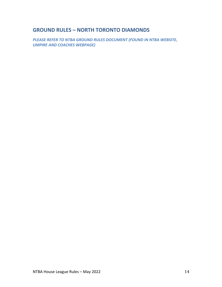### **GROUND RULES – NORTH TORONTO DIAMONDS**

*PLEASE REFER TO NTBA GROUND RULES DOCUMENT (FOUND IN NTBA WEBSITE, UMPIRE AND COACHES WEBPAGE)*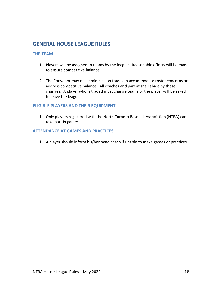### **GENERAL HOUSE LEAGUE RULES**

### **THE TEAM**

- 1. Players will be assigned to teams by the league. Reasonable efforts will be made to ensure competitive balance.
- 2. The Convenor may make mid-season trades to accommodate roster concerns or address competitive balance. All coaches and parent shall abide by these changes. A player who is traded must change teams or the player will be asked to leave the league.

### **ELIGIBLE PLAYERS AND THEIR EQUIPMENT**

1. Only players registered with the North Toronto Baseball Association (NTBA) can take part in games.

### **ATTENDANCE AT GAMES AND PRACTICES**

1. A player should inform his/her head coach if unable to make games or practices.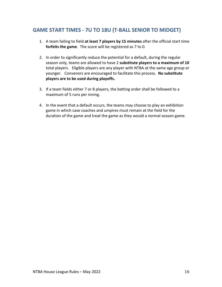### **GAME START TIMES - 7U TO 18U (T-BALL SENIOR TO MIDGET)**

- 1. A team failing to field **at least 7 players by 15 minutes** after the official start time **forfeits the game**. The score will be registered as 7 to 0.
- 2. In order to significantly reduce the potential for a default, during the regular season only, teams are allowed to have 2 **substitute players to a maximum of 10** total players. Eligible players are any player with NTBA at the same age group or younger. Convenors are encouraged to facilitate this process. **No substitute players are to be used during playoffs.**
- 3. If a team fields either 7 or 8 players, the batting order shall be followed to a maximum of 5 runs per inning.
- 4. In the event that a default occurs, the teams may choose to play an exhibition game in which case coaches and umpires must remain at the field for the duration of the game and treat the game as they would a normal season game.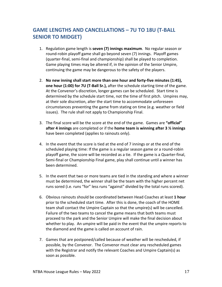### **GAME LENGTHS AND CANCELLATIONS – 7U TO 18U (T-BALL SENIOR TO MIDGET)**

- 1. Regulation game length is **seven (7) innings maximum**. No regular season or round-robin playoff game shall go beyond seven (7) innings. Playoff games (quarter-final, semi-final and championship) shall be played to completion. Game playing times may be altered if, in the opinion of the Senior Umpire, continuing the game may be dangerous to the safety of the players.
- 2. **No new inning shall start more than one hour and forty-five minutes (1:45), one hour (1:00) for 7U (T-Ball Sr.),** after the schedule starting time of the game. At the Convenor's discretion, longer games can be scheduled. Start time is determined by the schedule start time, not the time of first pitch. Umpires may, at their sole discretion, alter the start time to accommodate unforeseen circumstances preventing the game from stating on time (e.g. weather or field issues). The rule shall not apply to Championship Final.
- 3. The final score will be the score at the end of the game. Games are **"official" after 4 innings** are completed or if the **home team is winning after 3 ½ innings** have been completed (applies to rainouts only).
- 4. In the event that the score is tied at the end of 7 innings or at the end of the scheduled playing time: If the game is a regular season game or a round-robin playoff game, the score will be recorded as a tie. If the game is a Quarter-final, Semi-final or Championship Final game, play shall continue until a winner has been determined.
- 5. In the event that two or more teams are tied in the standing and where a winner must be determined, the winner shall be the team with the higher percent net runs sored (i.e. runs "for" less runs "against" divided by the total runs scored).
- 6. Obvious rainouts should be coordinated between Head Coaches at least **1 hour** prior to the scheduled start time. After this is done, the coach of the HOME team shall contact the Umpire Captain so that the umpire(s) will be cancelled. Failure of the two teams to cancel the game means that both teams must proceed to the park and the Senior Umpire will make the final decision about whether to play. An umpire will be paid in the event that the umpire reports to the diamond and the game is called on account of rain.
- 7. Games that are postponed/called because of weather will be rescheduled, if possible, by the Convenor. The Convenor must clear any rescheduled games with the Registrar and notify the relevant Coaches and Umpire Captain(s) as soon as possible.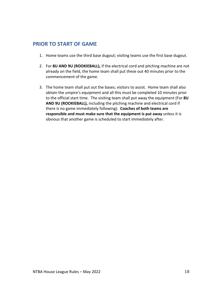### **PRIOR TO START OF GAME**

- 1. Home teams use the third base dugout; visiting teams use the first base dugout.
- 2. For **8U AND 9U (ROOKIEBALL),** if the electrical cord and pitching machine are not already on the field, the home team shall put these out 40 minutes prior to the commencement of the game.
- 3. The home team shall put out the bases; visitors to assist. Home team shall also obtain the umpire's equipment and all this must be completed 10 minutes prior to the official start time. The visiting team shall put away the equipment (For **8U AND 9U (ROOKIEBALL),** including the pitching machine and electrical cord if there is no game immediately following). **Coaches of both teams are responsible and must make sure that the equipment is put away** unless it is obvious that another game is scheduled to start immediately after.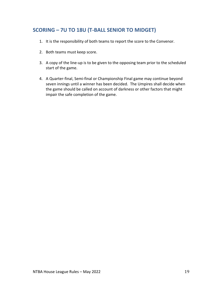### **SCORING – 7U TO 18U (T-BALL SENIOR TO MIDGET)**

- 1. It is the responsibility of both teams to report the score to the Convenor.
- 2. Both teams must keep score.
- 3. A copy of the line-up is to be given to the opposing team prior to the scheduled start of the game.
- 4. A Quarter-final, Semi-final or Championship Final game may continue beyond seven innings until a winner has been decided. The Umpires shall decide when the game should be called on account of darkness or other factors that might impair the safe completion of the game.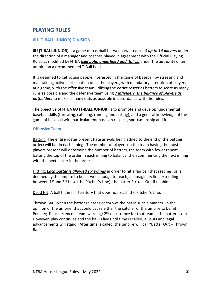### **PLAYING RULES**

### **6U (T-BALL JUNIOR) DIVISION**

**6U (T-BALL JUNIOR)** is a game of baseball between two teams of *up to 14 players* under the direction of a manager and coaches played in agreement with the Official Playing Rules as modified by NTBA *(see bold, underlined and italics)* under the authority of an umpire on a recommended T-Ball field.

It is designed to get young people interested in the game of baseball by stressing and maintaining active participation of all the players, with mandatory alteration of players at a game, with the offensive team utilizing the *entire roster* as batters to score as many runs as possible and the defensive team using *7 infielders, the balance of players as outfielders* to make as many outs as possible in accordance with the rules.

The objective of NTBA **6U (T-BALL JUNIOR)** is to promote and develop fundamental baseball skills (throwing, catching, running and hitting), and a general knowledge of the game of baseball with particular emphasis on respect, sportsmanship and fun.

### **Offensive Team**

Batting: The entire roster present (late arrivals being added to the end of the batting order) will bat in each inning. The number of players on the team having the most players present will determine the number of batters, the team with fewer repeatbatting the top of the order in each inning to balance, then commencing the next inning with the next batter in the order.

Hitting: *Each batter is allowed six swings* in order to hit a fair ball that reaches, or is deemed by the umpire to be hit well enough to reach, an imaginary line extending between 1<sup>st</sup> and 3<sup>rd</sup> base (the Pitcher's Line); the batter Strike's Out if unable.

Dead Hit: A ball hit in fair territory that does not reach the Pitcher's Line.

Thrown Bat: When the batter releases or throws the bat in such a manner, in the opinion of the umpire, that could cause either the catcher of the umpire to be hit. Penalty;  $1^{st}$  occurrence – team warning;  $2^{nd}$  occurrence for that team – the batter is out. However, play continues and the ball is live until time is called, all outs and legal advancements will stand. After time is called, the umpire will call "Batter Out – Thrown Bat".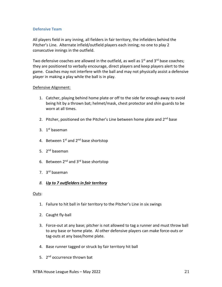### **Defensive Team**

All players field in any inning, all fielders in fair territory, the infielders behind the Pitcher's Line. Alternate infield/outfield players each inning; no one to play 2 consecutive innings in the outfield.

Two defensive coaches are allowed in the outfield, as well as  $1<sup>st</sup>$  and  $3<sup>rd</sup>$  base coaches; they are positioned to verbally encourage, direct players and keep players alert to the game. Coaches may not interfere with the ball and may not physically assist a defensive player in making a play while the ball is in play.

#### Defensive Alignment:

- 1. Catcher, playing behind home plate or off to the side far enough away to avoid being hit by a thrown bat; helmet/mask, chest protector and shin guards to be worn at all times.
- 2. Pitcher, positioned on the Pitcher's Line between home plate and  $2^{nd}$  base
- 3.  $1<sup>st</sup>$  baseman
- 4. Between  $1^{st}$  and  $2^{nd}$  base shortstop
- 5. 2<sup>nd</sup> baseman
- 6. Between 2<sup>nd</sup> and 3<sup>rd</sup> base shortstop
- 7. 3rd baseman

### *8. Up to 7 outfielders in fair territory*

#### Outs:

- 1. Failure to hit ball in fair territory to the Pitcher's Line in six swings
- 2. Caught fly-ball
- 3. Force-out at any base; pitcher is not allowed to tag a runner and must throw ball to any base or home plate. Al other defensive players can make force-outs or tag-outs at any base/home plate.
- 4. Base runner tagged or struck by fair territory hit ball
- 5. 2<sup>nd</sup> occurrence thrown bat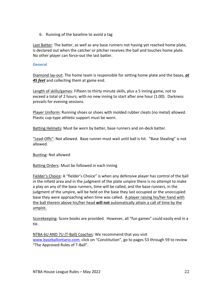6. Running of the baseline to avoid a tag

Last Batter: The batter, as well as any base runners not having yet reached home plate, is declared out when the catcher or pitcher receives the ball and touches home plate. No other player can force-out the last batter.

### **General**

Diamond lay-out: The home team is responsible for setting home plate and the bases, *at 45 feet* and collecting them at game end.

Length of skills/games: Fifteen to thirty minute skills, plus a 5 inning game, not to exceed a total of 2 hours, with no new inning to start after one hour (1:00). Darkness prevails for evening sessions.

Player Uniform: Running shoes or shoes with molded rubber cleats (no metal) allowed. Plastic cup-type athletic support must be worn.

Batting Helmets: Must be worn by batter, base runners and on-deck batter.

"Lead-Offs": Not allowed. Base runner must wait until ball is hit. "Base Stealing" is not allowed.

Bunting: Not allowed

Batting Orders: Must be followed in each inning

Fielder's Choice: A "fielder's Choice" is when any defensive player has control of the ball in the infield area and in the judgment of the plate umpire there is no attempt to make a play on any of the base runners, time will be called, and the base runners, in the judgment of the umpire, will be held on the base they last occupied or the unoccupied base they were approaching when time was called. A player raising his/her hand with the ball therein above his/her head **will not** automatically attain a call of time by the umpire.

Scorekeeping: Score books are provided. However, all "fun games" could easily end in a tie.

NTBA 6U AND 7U (T-Ball) Coaches: We recommend that you visit www.baseballontario.com, click on "Constitution", go to pages 53 through 59 to review "The Approved Rules of T-Ball".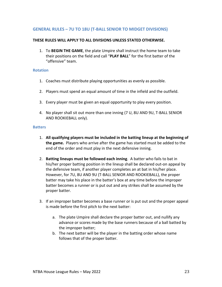### **GENERAL RULES – 7U TO 18U (T-BALL SENIOR TO MIDGET DIVISIONS)**

#### **THESE RULES WILL APPLY TO ALL DIVISIONS UNLESS STATED OTHERWISE.**

1. To **BEGIN THE GAME**, the plate Umpire shall instruct the home team to take their positions on the field and call "**PLAY BALL**" for the first batter of the "offensive" team.

#### **Rotation**

- 1. Coaches must distribute playing opportunities as evenly as possible.
- 2. Players must spend an equal amount of time in the infield and the outfield.
- 3. Every player must be given an equal opportunity to play every position.
- 4. No player shall sit out more than one inning (7 U, 8U AND 9U, T-BALL SENIOR AND ROOKIEBALL only).

#### **Batters**

- 1. **All qualifying players must be included in the batting lineup at the beginning of the game.** Players who arrive after the game has started must be added to the end of the order and must play in the next defensive inning.
- 2. **Batting lineups must be followed each inning**. A batter who fails to bat in his/her proper batting position in the lineup shall be declared out-on appeal by the defensive team, if another player completes an at bat in his/her place. However, for 7U, 8U AND 9U (T-BALL SENIOR AND ROOKIEBALL), the proper batter may take his place in the batter's box at any time before the improper batter becomes a runner or is put out and any strikes shall be assumed by the proper batter.
- 3. If an improper batter becomes a base runner or is put out and the proper appeal is made before the first pitch to the next batter:
	- a. The plate Umpire shall declare the proper batter out, and nullify any advance or scores made by the base runners because of a ball batted by the improper batter;
	- b. The next batter will be the player in the batting order whose name follows that of the proper batter.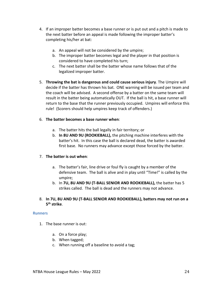- 4. If an improper batter becomes a base runner or is put out and a pitch is made to the next batter before an appeal is made following the improper batter's completing his/her at bat:
	- a. An appeal will not be considered by the umpire;
	- b. The improper batter becomes legal and the player in that position is considered to have completed his turn;
	- c. The next batter shall be the batter whose name follows that of the legalized improper batter.
- 5. **Throwing the bat is dangerous and could cause serious injury**. The Umpire will decide if the batter has thrown his bat. ONE warning will be issued per team and the coach will be advised. A second offense by a batter on the same team will result in the batter being automatically OUT. If the ball is hit, a base runner will return to the base that the runner previously occupied. Umpires will enforce this rule! (Scorers should help umpires keep track of offenders.)

### 6. **The batter becomes a base runner when**:

- a. The batter hits the ball legally in fair territory; or
- b. **In 8U AND 9U (ROOKIEBALL),** the pitching machine interferes with the batter's hit. In this case the ball is declared dead, the batter is awarded first base. No runners may advance except those forced by the batter.

### 7. **The batter is out when**:

- a. The batter's fair, line drive or foul fly is caught by a member of the defensive team. The ball is alive and in play until "Time!" is called by the umpire;
- b. In **7U, 8U AND 9U (T-BALL SENIOR AND ROOKIEBALL),** the batter has 5 strikes called. The ball is dead and the runners may not advance.
- 8. **In 7U, 8U AND 9U (T-BALL SENIOR AND ROOKIEBALL), batters may not run on a 5th strike**.

### **Runners**

- 1. The base runner is out:
	- a. On a force play;
	- b. When tagged;
	- c. When running off a baseline to avoid a tag;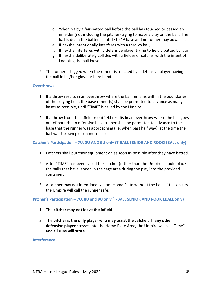- d. When hit by a fair-batted ball before the ball has touched or passed an infielder (not including the pitcher) trying to make a play on the ball. The ball is dead; the batter is entitle to  $1<sup>st</sup>$  base and no runner may advance;
- e. If he/she intentionally interferes with a thrown ball;
- f. If he/she interferes with a defensive player trying to field a batted ball; or
- g. If he/she deliberately collides with a fielder or catcher with the intent of knocking the ball loose.
- 2. The runner is tagged when the runner is touched by a defensive player having the ball in his/her glove or bare hand.

### **Overthrows**

- 1. If a throw results in an overthrow where the ball remains within the boundaries of the playing field, the base runner(s) shall be permitted to advance as many bases as possible, until "**TIME**" is called by the Umpire.
- 2. If a throw from the infield or outfield results in an overthrow where the ball goes out of bounds, an offensive base runner shall be permitted to advance to the base that the runner was approaching (i.e. when past half way), at the time the ball was thrown plus on more base.

#### **Catcher's Participation – 7U, 8U AND 9U only (T-BALL SENIOR AND ROOKIEBALL only)**

- 1. Catchers shall put their equipment on as soon as possible after they have batted.
- 2. After "TIME" has been called the catcher (rather than the Umpire) should place the balls that have landed in the cage area during the play into the provided container.
- 3. A catcher may not intentionally block Home Plate without the ball. If this occurs the Umpire will call the runner safe.

**Pitcher's Participation – 7U, 8U and 9U only (T-BALL SENIOR AND ROOKIEBALL only)**

- 1. The **pitcher may not leave the infield**.
- 2. The **pitcher is the only player who may assist the catcher**. If **any other defensive player** crosses into the Home Plate Area, the Umpire will call "Time" and **all runs will score**.

#### **Interference**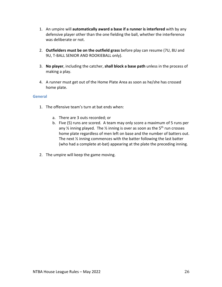- 1. An umpire will **automatically award a base if a runner is interfered** with by any defensive player other than the one fielding the ball, whether the interference was deliberate or not.
- 2. **Outfielders must be on the outfield grass** before play can resume (7U, 8U and 9U, T-BALL SENIOR AND ROOKIEBALL only).
- 3. **No player**, including the catcher, **shall block a base path** unless in the process of making a play.
- 4. A runner must get out of the Home Plate Area as soon as he/she has crossed home plate.

### **General**

- 1. The offensive team's turn at bat ends when:
	- a. There are 3 outs recorded; or
	- b. Five (5) runs are scored. A team may only score a maximum of 5 runs per any  $\frac{1}{2}$  inning played. The  $\frac{1}{2}$  inning is over as soon as the 5<sup>th</sup> run crosses home plate regardless of men left on base and the number of batters out. The next ½ inning commences with the batter following the last batter (who had a complete at-bat) appearing at the plate the preceding inning.
- 2. The umpire will keep the game moving.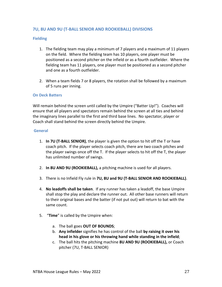### **7U, 8U AND 9U (T-BALL SENIOR AND ROOKIEBALL) DIVISIONS**

### **Fielding**

- 1. The fielding team may play a minimum of 7 players and a maximum of 11 players on the field. Where the fielding team has 10 players, one player must be positioned as a second pitcher on the infield or as a fourth outfielder. Where the fielding team has 11 players, one player must be positioned as a second pitcher and one as a fourth outfielder.
- 2. When a team fields 7 or 8 players, the rotation shall be followed by a maximum of 5 runs per inning.

### **On Deck Batters**

Will remain behind the screen until called by the Umpire ("Batter Up!"). Coaches will ensure that all players and spectators remain behind the screen at all ties and behind the imaginary lines parallel to the first and third base lines. No spectator, player or Coach shall stand behind the screen directly behind the Umpire.

#### **General**

- 1. **In 7U (T-BALL SENIOR)**, the player is given the option to hit off the T or have coach pitch. If the player selects coach pitch, there are two coach pitches and the player swings once off the T. If the player selects to hit off the T, the player has unlimited number of swings.
- 2. **In 8U AND 9U (ROOKIEBALL),** a pitching machine is used for all players.
- 3. There is no Infield Fly rule in **7U, 8U and 9U (T-BALL SENIOR AND ROOKIEBALL)**.
- 4. **No leadoffs shall be taken**. If any runner has taken a leadoff, the base Umpire shall stop the play and declare the runner out. All other base runners will return to their original bases and the batter (if not put out) will return to bat with the same count.
- 5. "**Time**" is called by the Umpire when:
	- a. The ball goes **OUT OF BOUNDS**;
	- b. **Any infielder** signifies he has control of the ball **by raising it over his head in his glove or his throwing hand while standing in the infield**;
	- c. The ball hits the pitching machine **8U AND 9U (ROOKIEBALL),** or Coach pitcher (7U, T-BALL SENIOR)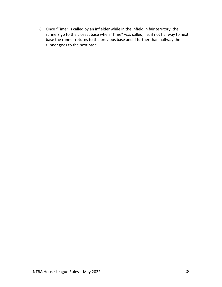6. Once "Time" is called by an infielder while in the infield in fair territory, the runners go to the closest base when "Time" was called, i.e. if not halfway to next base the runner returns to the previous base and if further than halfway the runner goes to the next base.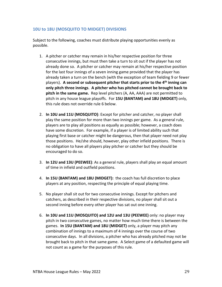### **10U to 18U (MOSQUITO TO MIDGET) DIVISIONS**

Subject to the following, coaches must distribute playing opportunities evenly as possible.

- 1. A pitcher or catcher may remain in his/her respective position for three consecutive innings, but must then take a turn to sit out if the player has not already done so. A pitcher or catcher may remain at his/her respective position for the last four innings of a seven inning game provided that the player has already taken a turn on the bench (with the exception of team fielding 9 or fewer players). **A second or subsequent pitcher that starts prior to the 4th inning can only pitch three innings**. **A pitcher who has pitched cannot be brought back to pitch in the same game.** Rep level pitchers (A, AA, AAA) are not permitted to pitch in any house league playoffs. For **15U (BANTAM) and 18U (MIDGET)** only, this rule does not override rule 6 below.
- 2. **In 10U and 11U (MOSQUITO)**: Except for pitcher and catcher, no player shall play the same position for more than two innings per game. As a general rule, players are to play all positions as equally as possible; however, a coach does have some discretion. For example, if a player is of limited ability such that playing first base or catcher might be dangerous, then that player need not play those positions. He/she should, however, play other infield positions. There is no obligation to have all players play pitcher or catcher but they should be encouraged to do so.
- 3. **In 12U and 13U (PEEWEE)**: As a general rule, players shall play an equal amount of time in infield and outfield positions.
- 4. **In 15U (BANTAM) and 18U (MIDGET):** the coach has full discretion to place players at any position, respecting the principle of equal playing time.
- 5. No player shall sit out for two consecutive innings. Except for pitchers and catchers, as described in their respective divisions, no player shall sit out a second inning before every other player has sat out one inning.
- 6. **In 10U and 11U (MOSQUITO) and 12U and 13U (PEEWEE)** only: no player may pitch in two consecutive games, no matter how much time there is between the games. **In 15U (BANTAM) and 18U (MIDGET)** only, a player may pitch any combination of innings to a maximum of 4 innings over the course of two consecutive days. In all divisions, a pitcher who has already pitched may not be brought back to pitch in that same game. A Select game of a defaulted game will not count as a game for the purposes of this rule.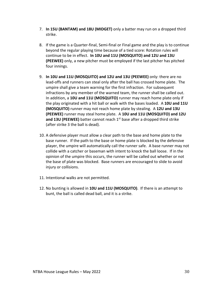- 7. **In 15U (BANTAM) and 18U (MIDGET)** only a batter may run on a dropped third strike.
- 8. If the game is a Quarter-final, Semi-final or Final game and the play is to continue beyond the regular playing time because of a tied score: Rotation rules will continue to be in effect. **In 10U and 11U (MOSQUITO) and 12U and 13U (PEEWEE)** only, a new pitcher must be employed if the last pitcher has pitched four innings.
- 9. **In 10U and 11U (MOSQUITO) and 12U and 13U (PEEWEE)** only: there are no lead-offs and runners can steal only after the ball has crossed home plate. The umpire shall give a team warning for the first infraction. For subsequent infractions by any member of the warned team, the runner shall be called out. In addition, a **10U and 11U (MOSQUITO)** runner may reach home plate only if the play originated with a hit ball or walk with the bases loaded. A **10U and 11U (MOSQUITO)** runner may not reach home plate by stealing. A **12U and 13U (PEEWEE)** runner may steal home plate. A **10U and 11U (MOSQUITO) and 12U**  and 13U (PEEWEE) batter cannot reach 1<sup>st</sup> base after a dropped third strike (after strike 3 the ball is dead).
- 10. A defensive player must allow a clear path to the base and home plate to the base runner. If the path to the base or home plate is blocked by the defensive player, the umpire will automatically call the runner safe. A base runner may not collide with a catcher or baseman with intent to knock the ball loose. If in the opinion of the umpire this occurs, the runner will be called out whether or not the base of plate was blocked. Base runners are encouraged to slide to avoid injury or collisions.
- 11. Intentional walks are not permitted.
- 12. No bunting is allowed in **10U and 11U (MOSQUITO)**. If there is an attempt to bunt, the ball is called dead ball, and it is a strike.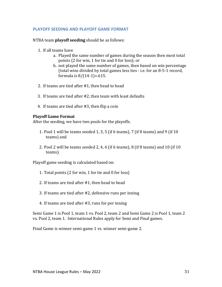### **PLAYOFF SEEDING AND PLAYOFF GAME FORMAT**

NTBA team **playoff seeding** should be as follows:

- 1. If all teams have
	- a. Played the same number of games during the season then most total points (2 for win, 1 for tie and 0 for loss); or
	- b. not played the same number of games, then based on win percentage (total wins divided by total games less ties - i.e. for an 8-5-1 record, formula is  $8/(14-1) = .615$ .
- 2. If teams are tied after  $#1$ , then head to head
- 3. If teams are tied after  $#2$ , then team with least defaults
- 4. If teams are tied after  $#3$ , then flip a coin

### **Playoff Game Format**

After the seeding, we have two pools for the playoffs.

- 1. Pool 1 will be teams seeded 1, 3, 5 (if 6 teams), 7 (if 8 teams) and 9 (if  $10$ teams) and
- 2. Pool 2 will be teams seeded 2, 4, 6 (if 6 teams), 8 (if 8 teams) and 10 (if 10 teams).

Playoff game seeding is calculated based on:

- 1. Total points (2 for win, 1 for tie and 0 for loss)
- 2. If teams are tied after  $#1$ , then head to head
- 3. If teams are tied after #2, defensive runs per inning
- 4. If teams are tied after #3, runs for per inning

Semi Game 1 is Pool 1, team 1 vs. Pool 2, team 2 and Semi Game 2 is Pool 1, team 2 vs. Pool 2, team 1. International Rules apply for Semi and Final games.

Final Game is winner semi-game 1 vs. winner semi-game 2.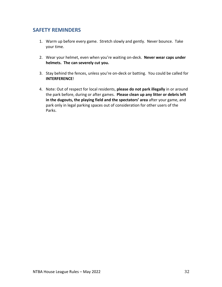### **SAFETY REMINDERS**

- 1. Warm up before every game. Stretch slowly and gently. Never bounce. Take your time.
- 2. Wear your helmet, even when you're waiting on-deck. **Never wear caps under helmets. The can severely cut you.**
- 3. Stay behind the fences, unless you're on-deck or batting. You could be called for **INTERFERENCE**!
- 4. Note: Out of respect for local residents, **please do not park illegally** in or around the park before, during or after games. **Please clean up any litter or debris left in the dugouts, the playing field and the spectators' area** after your game, and park only in legal parking spaces out of consideration for other users of the Parks.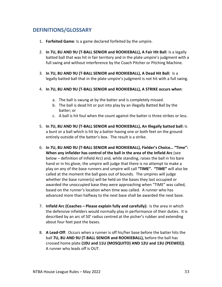### **DEFINITIONS/GLOSSARY**

- 1. **Forfeited Game**: Is a game declared forfeited by the umpire.
- 2. **In 7U, 8U AND 9U (T-BALL SENIOR and ROOKIEBALL), A Fair Hit Ball**: Is a legally batted ball that was hit in fair territory and in the plate umpire's judgment with a full swing and without interference by the Coach Pitcher or Pitching Machine.
- 3. **In 7U, 8U AND 9U (T-BALL SENIOR and ROOKIEBALL), A Dead Hit Ball:** Is a legally batted ball that in the plate umpire's judgment is not hit with a full swing.
- 4. **In 7U, 8U AND 9U (T-BALL SENIOR and ROOKIEBALL), A STRIKE occurs when**:
	- a. The ball is swung at by the batter and is completely missed.
	- b. The ball is dead hit or put into play by an illegally Batted Ball by the batter; or
	- c. A ball is hit foul when the count against the batter is three strikes or less.
- 5. **In 7U, 8U AND 9U (T-BALL SENIOR and ROOKIEBALL), An Illegally batted ball:** Is a bunt or a ball which is hit by a batter having one or both feet on the ground entirely outside of the batter's box. The result is a strike.
- 6. **In 7U, 8U AND 9U (T-BALL SENIOR and ROOKIEBALL), Fielder's Choice… "Time": When any infielder has control of the ball in the area of the Infield Arc** (see below – definition of Infield Arc) and, while standing, raises the ball in his bare hand or in his glove, the umpire will judge that there is no attempt to make a play on any of the base runners and umpire will call **"TIME". "TIME"** will also be called at the moment the ball goes out of bounds. The umpires will judge whether the base runner(s) will be held on the bases they last occupied or awarded the unoccupied base they were approaching when "TIME" was called, based on the runner's location when time was called. A runner who has advanced more than halfway to the next base shall be awarded the next base.
- 7. **Infield Arc (Coaches – Please explain fully and carefully):** Is the area in which the defensive infielders would normally play in performance of their duties. It is described by an arc of 50' radius centred at the picher's rubber and extending about four feet past the bases.
- 8. **A Lead-Off**: Occurs when a runner is off his/her base before the batter hits the ball **7U, 8U AND 9U (T-BALL SENIOR and ROOKIEBALL),** before the ball has crossed home plate **(10U and 11U (MOSQUITO) AND 12U and 13U (PEEWEE))**. A runner who leads off is OUT.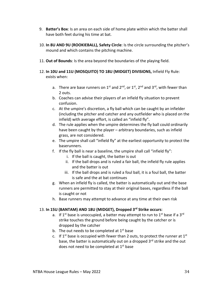- 9. **Batter's Box**: Is an area on each side of home plate within which the batter shall have both feet during his time at bat.
- 10. **In 8U AND 9U (ROOKIEBALL), Safety Circle**: Is the circle surrounding the pitcher's mound and which contains the pitching machine.
- 11. **Out of Bounds**: Is the area beyond the boundaries of the playing field.
- 12. **In 10U and 11U (MOSQUITO) TO 18U (MIDGET) DIVISIONS,** Infield Fly Rule: exists when:
	- a. There are base runners on  $1^{st}$  and  $2^{nd}$ , or  $1^{st}$ ,  $2^{nd}$  and  $3^{rd}$ , with fewer than 2 outs.
	- b. Coaches can advise their players of an infield fly situation to prevent confusion.
	- c. At the umpire's discretion, a fly ball which can be caught by an infielder (including the pitcher and catcher and any outfielder who is placed on the infield) with average effort, is called an "infield fly".
	- d. The rule applies when the umpire determines the fly ball could ordinarily have been caught by the player – arbitrary boundaries, such as infield grass, are not considered.
	- e. The umpire shall call "infield fly" at the earliest opportunity to protect the baserunners.
	- f. If the fly ball is near a baseline, the umpire shall call "infield fly":
		- i. If the ball is caught, the batter is out
		- ii. If the ball drops and is ruled a fair ball, the infield fly rule applies and the batter is out
		- iii. If the ball drops and is ruled a foul ball, it is a foul ball, the batter is safe and the at bat continues
	- g. When an infield fly is called, the batter is automatically out and the base runners are permitted to stay at their original bases, regardless if the ball is caught or not
	- h. Base runners may attempt to advance at any time at their own risk

### 13. **In 15U (BANTAM) AND 18U (MIDGET), Dropped 3rd Strike occurs**:

- a. If 1<sup>st</sup> base is unoccupied, a batter may attempt to run to 1<sup>st</sup> base if a 3<sup>rd</sup> strike touches the ground before being caught by the catcher or is dropped by the catcher
- b. The out needs to be completed at  $1<sup>st</sup>$  base
- c. If 1<sup>st</sup> base is occupied with fewer than 2 outs, to protect the runner at 1<sup>st</sup> base, the batter is automatically out on a dropped 3<sup>rd</sup> strike and the out does not need to be completed at  $1<sup>st</sup>$  base